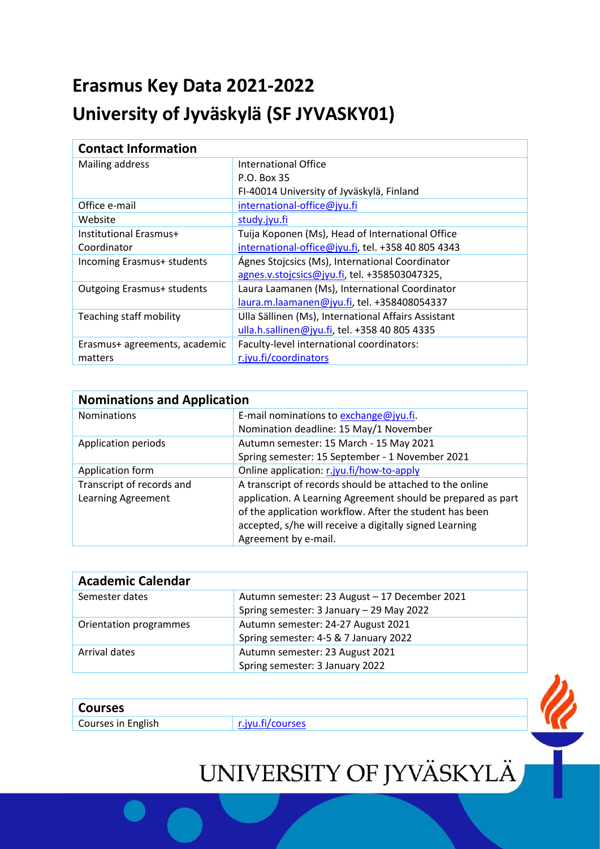## **Erasmus Key Data 2021-2022 University of Jyväskylä (SF JYVASKY01)**

| <b>Contact Information</b>        |                                                     |
|-----------------------------------|-----------------------------------------------------|
| Mailing address                   | International Office                                |
|                                   | P.O. Box 35                                         |
|                                   | FI-40014 University of Jyväskylä, Finland           |
| Office e-mail                     | international-office@jyu.fi                         |
| Website                           | study.jyu.fi                                        |
| Institutional Erasmus+            | Tuija Koponen (Ms), Head of International Office    |
| Coordinator                       | international-office@jyu.fi, tel. +358 40 805 4343  |
| Incoming Erasmus+ students        | Ágnes Stojcsics (Ms), International Coordinator     |
|                                   | agnes.v.stojcsics@jyu.fi, tel. +358503047325,       |
| <b>Outgoing Erasmus+ students</b> | Laura Laamanen (Ms), International Coordinator      |
|                                   | laura.m.laamanen@jyu.fi, tel. +358408054337         |
| Teaching staff mobility           | Ulla Sällinen (Ms), International Affairs Assistant |
|                                   | ulla.h.sallinen@jyu.fi, tel. +358 40 805 4335       |
| Erasmus+ agreements, academic     | Faculty-level international coordinators:           |
| matters                           | r.jyu.fi/coordinators                               |

| <b>Nominations and Application</b> |                                                              |  |
|------------------------------------|--------------------------------------------------------------|--|
| <b>Nominations</b>                 | E-mail nominations to exchange@jyu.fi.                       |  |
|                                    | Nomination deadline: 15 May/1 November                       |  |
| Application periods                | Autumn semester: 15 March - 15 May 2021                      |  |
|                                    | Spring semester: 15 September - 1 November 2021              |  |
| Application form                   | Online application: r.jyu.fi/how-to-apply                    |  |
| Transcript of records and          | A transcript of records should be attached to the online     |  |
| Learning Agreement                 | application. A Learning Agreement should be prepared as part |  |
|                                    | of the application workflow. After the student has been      |  |
|                                    | accepted, s/he will receive a digitally signed Learning      |  |
|                                    | Agreement by e-mail.                                         |  |

| <b>Academic Calendar</b> |                                               |
|--------------------------|-----------------------------------------------|
| Semester dates           | Autumn semester: 23 August - 17 December 2021 |
|                          | Spring semester: 3 January - 29 May 2022      |
| Orientation programmes   | Autumn semester: 24-27 August 2021            |
|                          | Spring semester: 4-5 & 7 January 2022         |
| Arrival dates            | Autumn semester: 23 August 2021               |
|                          | Spring semester: 3 January 2022               |

| <b>Courses</b> |
|----------------|
|----------------|

Courses in English [r.jyu.fi/courses](https://www.jyu.fi/en/apply/student-exchange/courses-for-exchange-students)

## UNIVERSITY OF JYVÄSKYLÄ

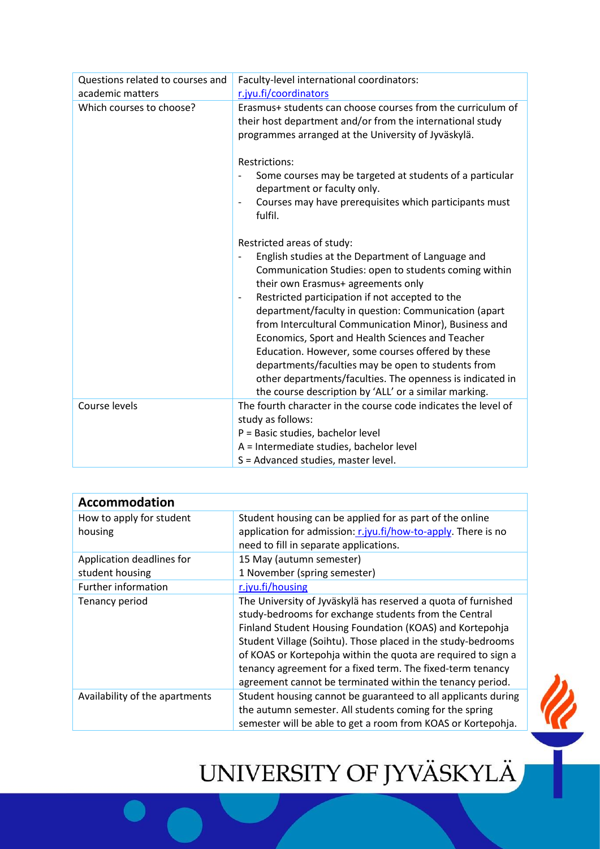| Questions related to courses and | Faculty-level international coordinators:                                                                                                                                                                                                                                                                                                                                                                                                                                                                                                                                                                                                                                                       |
|----------------------------------|-------------------------------------------------------------------------------------------------------------------------------------------------------------------------------------------------------------------------------------------------------------------------------------------------------------------------------------------------------------------------------------------------------------------------------------------------------------------------------------------------------------------------------------------------------------------------------------------------------------------------------------------------------------------------------------------------|
| academic matters                 | r.jyu.fi/coordinators                                                                                                                                                                                                                                                                                                                                                                                                                                                                                                                                                                                                                                                                           |
| Which courses to choose?         | Erasmus+ students can choose courses from the curriculum of<br>their host department and/or from the international study<br>programmes arranged at the University of Jyväskylä.                                                                                                                                                                                                                                                                                                                                                                                                                                                                                                                 |
|                                  | <b>Restrictions:</b><br>Some courses may be targeted at students of a particular<br>department or faculty only.<br>Courses may have prerequisites which participants must<br>fulfil.                                                                                                                                                                                                                                                                                                                                                                                                                                                                                                            |
|                                  | Restricted areas of study:<br>English studies at the Department of Language and<br>$\overline{\phantom{0}}$<br>Communication Studies: open to students coming within<br>their own Erasmus+ agreements only<br>Restricted participation if not accepted to the<br>$\overline{\phantom{a}}$<br>department/faculty in question: Communication (apart<br>from Intercultural Communication Minor), Business and<br>Economics, Sport and Health Sciences and Teacher<br>Education. However, some courses offered by these<br>departments/faculties may be open to students from<br>other departments/faculties. The openness is indicated in<br>the course description by 'ALL' or a similar marking. |
| Course levels                    | The fourth character in the course code indicates the level of<br>study as follows:<br>P = Basic studies, bachelor level<br>A = Intermediate studies, bachelor level<br>S = Advanced studies, master level.                                                                                                                                                                                                                                                                                                                                                                                                                                                                                     |

| <b>Accommodation</b>           |                                                               |
|--------------------------------|---------------------------------------------------------------|
| How to apply for student       | Student housing can be applied for as part of the online      |
| housing                        | application for admission: r.jyu.fi/how-to-apply. There is no |
|                                | need to fill in separate applications.                        |
| Application deadlines for      | 15 May (autumn semester)                                      |
| student housing                | 1 November (spring semester)                                  |
| Further information            | r.jyu.fi/housing                                              |
| Tenancy period                 | The University of Jyväskylä has reserved a quota of furnished |
|                                | study-bedrooms for exchange students from the Central         |
|                                | Finland Student Housing Foundation (KOAS) and Kortepohja      |
|                                | Student Village (Soihtu). Those placed in the study-bedrooms  |
|                                | of KOAS or Kortepohja within the quota are required to sign a |
|                                | tenancy agreement for a fixed term. The fixed-term tenancy    |
|                                | agreement cannot be terminated within the tenancy period.     |
| Availability of the apartments | Student housing cannot be guaranteed to all applicants during |
|                                | the autumn semester. All students coming for the spring       |
|                                | semester will be able to get a room from KOAS or Kortepohja.  |

## UNIVERSITY OF JYVÄSKYLÄ

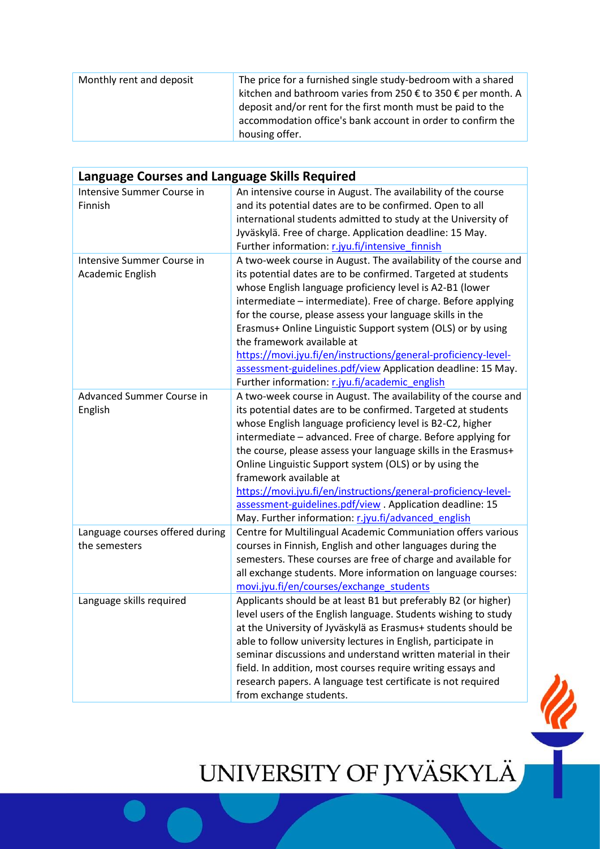| Monthly rent and deposit | The price for a furnished single study-bedroom with a shared<br>kitchen and bathroom varies from 250 € to 350 € per month. A<br>deposit and/or rent for the first month must be paid to the<br>accommodation office's bank account in order to confirm the<br>housing offer. |
|--------------------------|------------------------------------------------------------------------------------------------------------------------------------------------------------------------------------------------------------------------------------------------------------------------------|
|--------------------------|------------------------------------------------------------------------------------------------------------------------------------------------------------------------------------------------------------------------------------------------------------------------------|

| Language Courses and Language Skills Required    |                                                                                                                                                                                                                                                                                                                                                                                                                                                                                                                                                                                                             |  |
|--------------------------------------------------|-------------------------------------------------------------------------------------------------------------------------------------------------------------------------------------------------------------------------------------------------------------------------------------------------------------------------------------------------------------------------------------------------------------------------------------------------------------------------------------------------------------------------------------------------------------------------------------------------------------|--|
| Intensive Summer Course in<br>Finnish            | An intensive course in August. The availability of the course<br>and its potential dates are to be confirmed. Open to all<br>international students admitted to study at the University of<br>Jyväskylä. Free of charge. Application deadline: 15 May.<br>Further information: r.jyu.fi/intensive finnish                                                                                                                                                                                                                                                                                                   |  |
| Intensive Summer Course in<br>Academic English   | A two-week course in August. The availability of the course and<br>its potential dates are to be confirmed. Targeted at students<br>whose English language proficiency level is A2-B1 (lower<br>intermediate - intermediate). Free of charge. Before applying<br>for the course, please assess your language skills in the<br>Erasmus+ Online Linguistic Support system (OLS) or by using<br>the framework available at<br>https://movi.jyu.fi/en/instructions/general-proficiency-level-<br>assessment-guidelines.pdf/view Application deadline: 15 May.<br>Further information: r.jyu.fi/academic_english |  |
| Advanced Summer Course in<br>English             | A two-week course in August. The availability of the course and<br>its potential dates are to be confirmed. Targeted at students<br>whose English language proficiency level is B2-C2, higher<br>intermediate - advanced. Free of charge. Before applying for<br>the course, please assess your language skills in the Erasmus+<br>Online Linguistic Support system (OLS) or by using the<br>framework available at<br>https://movi.jyu.fi/en/instructions/general-proficiency-level-<br>assessment-guidelines.pdf/view. Application deadline: 15<br>May. Further information: r.jyu.fi/advanced english    |  |
| Language courses offered during<br>the semesters | Centre for Multilingual Academic Communiation offers various<br>courses in Finnish, English and other languages during the<br>semesters. These courses are free of charge and available for<br>all exchange students. More information on language courses:<br>movi.jyu.fi/en/courses/exchange students                                                                                                                                                                                                                                                                                                     |  |
| Language skills required                         | Applicants should be at least B1 but preferably B2 (or higher)<br>level users of the English language. Students wishing to study<br>at the University of Jyväskylä as Erasmus+ students should be<br>able to follow university lectures in English, participate in<br>seminar discussions and understand written material in their<br>field. In addition, most courses require writing essays and<br>research papers. A language test certificate is not required<br>from exchange students.                                                                                                                |  |

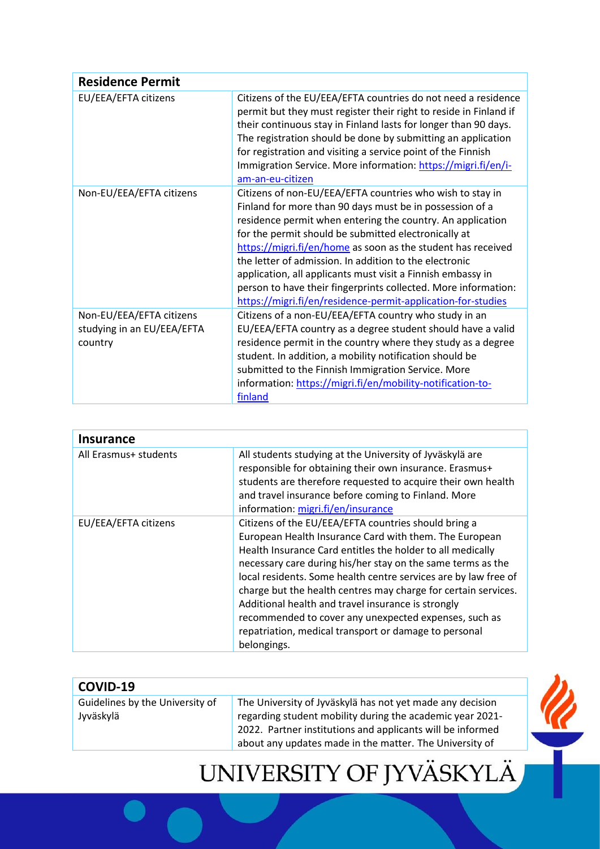| <b>Residence Permit</b>                                           |                                                                                                                                                                                                                                                                                                                                                                                                                                                                                                                                                                        |
|-------------------------------------------------------------------|------------------------------------------------------------------------------------------------------------------------------------------------------------------------------------------------------------------------------------------------------------------------------------------------------------------------------------------------------------------------------------------------------------------------------------------------------------------------------------------------------------------------------------------------------------------------|
| EU/EEA/EFTA citizens                                              | Citizens of the EU/EEA/EFTA countries do not need a residence<br>permit but they must register their right to reside in Finland if<br>their continuous stay in Finland lasts for longer than 90 days.<br>The registration should be done by submitting an application<br>for registration and visiting a service point of the Finnish<br>Immigration Service. More information: https://migri.fi/en/i-<br>am-an-eu-citizen                                                                                                                                             |
| Non-EU/EEA/EFTA citizens                                          | Citizens of non-EU/EEA/EFTA countries who wish to stay in<br>Finland for more than 90 days must be in possession of a<br>residence permit when entering the country. An application<br>for the permit should be submitted electronically at<br>https://migri.fi/en/home as soon as the student has received<br>the letter of admission. In addition to the electronic<br>application, all applicants must visit a Finnish embassy in<br>person to have their fingerprints collected. More information:<br>https://migri.fi/en/residence-permit-application-for-studies |
| Non-EU/EEA/EFTA citizens<br>studying in an EU/EEA/EFTA<br>country | Citizens of a non-EU/EEA/EFTA country who study in an<br>EU/EEA/EFTA country as a degree student should have a valid<br>residence permit in the country where they study as a degree<br>student. In addition, a mobility notification should be<br>submitted to the Finnish Immigration Service. More<br>information: https://migri.fi/en/mobility-notification-to-<br>finland                                                                                                                                                                                         |

| <b>Insurance</b>      |                                                                                                                                                                                                                                                                                                                                                                                                                                                                                                                                                                         |
|-----------------------|-------------------------------------------------------------------------------------------------------------------------------------------------------------------------------------------------------------------------------------------------------------------------------------------------------------------------------------------------------------------------------------------------------------------------------------------------------------------------------------------------------------------------------------------------------------------------|
| All Erasmus+ students | All students studying at the University of Jyväskylä are<br>responsible for obtaining their own insurance. Erasmus+<br>students are therefore requested to acquire their own health<br>and travel insurance before coming to Finland. More<br>information: migri.fi/en/insurance                                                                                                                                                                                                                                                                                        |
| EU/EEA/EFTA citizens  | Citizens of the EU/EEA/EFTA countries should bring a<br>European Health Insurance Card with them. The European<br>Health Insurance Card entitles the holder to all medically<br>necessary care during his/her stay on the same terms as the<br>local residents. Some health centre services are by law free of<br>charge but the health centres may charge for certain services.<br>Additional health and travel insurance is strongly<br>recommended to cover any unexpected expenses, such as<br>repatriation, medical transport or damage to personal<br>belongings. |

| COVID-19                        |                                                                                                                         |  |
|---------------------------------|-------------------------------------------------------------------------------------------------------------------------|--|
| Guidelines by the University of | The University of Jyväskylä has not yet made any decision                                                               |  |
| Jyväskylä                       | regarding student mobility during the academic year 2021-<br>2022. Partner institutions and applicants will be informed |  |
|                                 | about any updates made in the matter. The University of                                                                 |  |